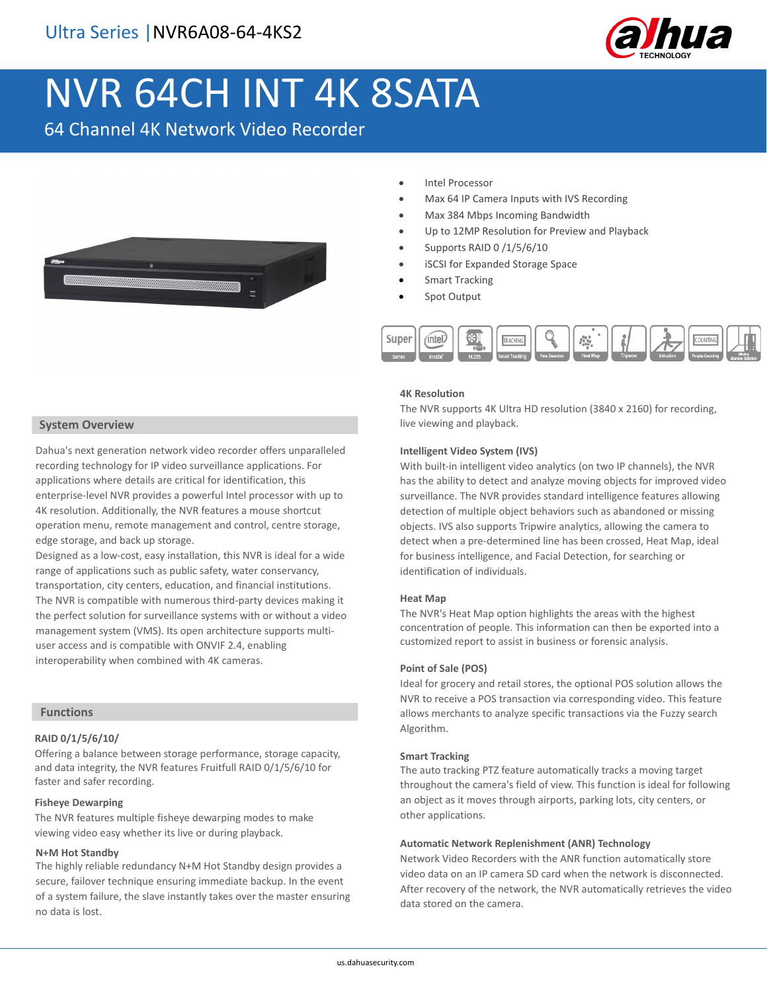

# NVR 64CH INT 4K 8SATA

64 Channel 4K Network Video Recorder



- Intel Processor
- Max 64 IP Camera Inputs with IVS Recording
- Max 384 Mbps Incoming Bandwidth
- Up to 12MP Resolution for Preview and Playback
- Supports RAID 0 /1/5/6/10
- iSCSI for Expanded Storage Space
- **Smart Tracking**
- Spot Output



#### **4K Resolution**

The NVR supports 4K Ultra HD resolution (3840 x 2160) for recording, live viewing and playback.

## **Intelligent Video System (IVS)**

With built-in intelligent video analytics (on two IP channels), the NVR has the ability to detect and analyze moving objects for improved video surveillance. The NVR provides standard intelligence features allowing detection of multiple object behaviors such as abandoned or missing objects. IVS also supports Tripwire analytics, allowing the camera to detect when a pre-determined line has been crossed, Heat Map, ideal for business intelligence, and Facial Detection, for searching or identification of individuals.

#### **Heat Map**

The NVR's Heat Map option highlights the areas with the highest concentration of people. This information can then be exported into a customized report to assist in business or forensic analysis.

#### **Point of Sale (POS)**

Ideal for grocery and retail stores, the optional POS solution allows the NVR to receive a POS transaction via corresponding video. This feature allows merchants to analyze specific transactions via the Fuzzy search Algorithm.

#### **Smart Tracking**

The auto tracking PTZ feature automatically tracks a moving target throughout the camera's field of view. This function is ideal for following an object as it moves through airports, parking lots, city centers, or other applications.

#### **Automatic Network Replenishment (ANR) Technology**

Network Video Recorders with the ANR function automatically store video data on an IP camera SD card when the network is disconnected. After recovery of the network, the NVR automatically retrieves the video data stored on the camera.

## **System Overview**

Dahua's next generation network video recorder offers unparalleled recording technology for IP video surveillance applications. For applications where details are critical for identification, this enterprise-level NVR provides a powerful Intel processor with up to 4K resolution. Additionally, the NVR features a mouse shortcut operation menu, remote management and control, centre storage, edge storage, and back up storage.

Designed as a low-cost, easy installation, this NVR is ideal for a wide range of applications such as public safety, water conservancy, transportation, city centers, education, and financial institutions. The NVR is compatible with numerous third-party devices making it the perfect solution for surveillance systems with or without a video management system (VMS). Its open architecture supports multiuser access and is compatible with ONVIF 2.4, enabling interoperability when combined with 4K cameras.

## **Functions**

#### **RAID 0/1/5/6/10/**

Offering a balance between storage performance, storage capacity, and data integrity, the NVR features Fruitfull RAID 0/1/5/6/10 for faster and safer recording.

## **Fisheye Dewarping**

The NVR features multiple fisheye dewarping modes to make viewing video easy whether its live or during playback.

## **N+M Hot Standby**

The highly reliable redundancy N+M Hot Standby design provides a secure, failover technique ensuring immediate backup. In the event of a system failure, the slave instantly takes over the master ensuring no data is lost.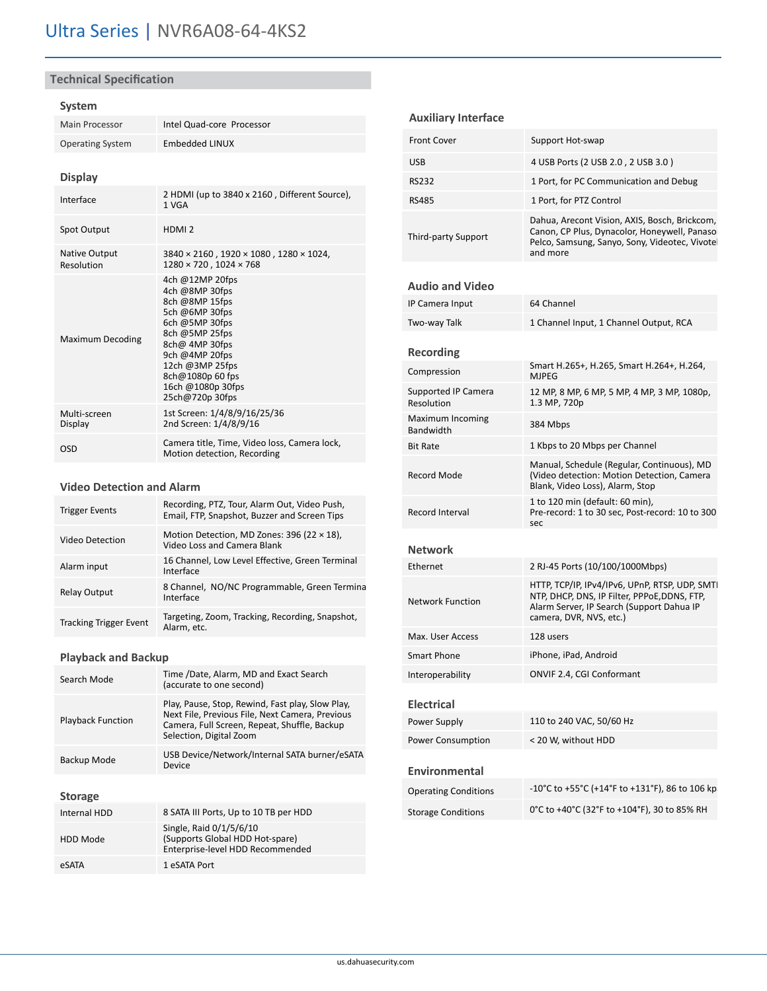## **Technical Specification**

## **System**

| Main Processor                     | Intel Quad-core Processor                                                                                                                                                                                                    |  |
|------------------------------------|------------------------------------------------------------------------------------------------------------------------------------------------------------------------------------------------------------------------------|--|
| <b>Operating System</b>            | <b>Embedded LINUX</b>                                                                                                                                                                                                        |  |
| <b>Display</b>                     |                                                                                                                                                                                                                              |  |
| Interface                          | 2 HDMI (up to 3840 x 2160, Different Source),<br>1 VGA                                                                                                                                                                       |  |
| Spot Output                        | HDMI <sub>2</sub>                                                                                                                                                                                                            |  |
| <b>Native Output</b><br>Resolution | 3840 × 2160, 1920 × 1080, 1280 × 1024,<br>$1280 \times 720$ . $1024 \times 768$                                                                                                                                              |  |
| <b>Maximum Decoding</b>            | 4ch @12MP 20fps<br>4ch @8MP 30fps<br>8ch @8MP 15fps<br>5ch @6MP 30fps<br>6ch @5MP 30fps<br>8ch @5MP 25fps<br>8ch@ 4MP 30fps<br>9ch @4MP 20fps<br>12ch @3MP 25fps<br>8ch@1080p 60 fps<br>16ch @1080p 30fps<br>25ch@720p 30fps |  |
| Multi-screen<br>Display            | 1st Screen: 1/4/8/9/16/25/36<br>2nd Screen: 1/4/8/9/16                                                                                                                                                                       |  |
| OSD                                | Camera title, Time, Video loss, Camera lock,<br>Motion detection, Recording                                                                                                                                                  |  |

## **Video Detection and Alarm**

| <b>Trigger Events</b>         | Recording, PTZ, Tour, Alarm Out, Video Push,<br>Email, FTP, Snapshot, Buzzer and Screen Tips |
|-------------------------------|----------------------------------------------------------------------------------------------|
| Video Detection               | Motion Detection, MD Zones: 396 (22 × 18),<br>Video Loss and Camera Blank                    |
| Alarm input                   | 16 Channel, Low Level Effective, Green Terminal<br>Interface                                 |
| <b>Relay Output</b>           | 8 Channel, NO/NC Programmable, Green Termina<br>Interface                                    |
| <b>Tracking Trigger Event</b> | Targeting, Zoom, Tracking, Recording, Snapshot,<br>Alarm, etc.                               |

## **Playback and Backup**

| Search Mode              | Time /Date, Alarm, MD and Exact Search<br>(accurate to one second)                                                                                                             |
|--------------------------|--------------------------------------------------------------------------------------------------------------------------------------------------------------------------------|
| <b>Playback Function</b> | Play, Pause, Stop, Rewind, Fast play, Slow Play,<br>Next File, Previous File, Next Camera, Previous<br>Camera, Full Screen, Repeat, Shuffle, Backup<br>Selection, Digital Zoom |
| Backup Mode              | USB Device/Network/Internal SATA burner/eSATA<br>Device                                                                                                                        |
| <b>Storage</b>           |                                                                                                                                                                                |
| Internal HDD             | 8 SATA III Ports, Up to 10 TB per HDD                                                                                                                                          |
| HDD Mode                 | Single, Raid 0/1/5/6/10<br>(Supports Global HDD Hot-spare)<br>Enterprise-level HDD Recommended                                                                                 |
| eSATA                    | 1 eSATA Port                                                                                                                                                                   |

## **Auxiliary Interface**

| <b>Front Cover</b>  | Support Hot-swap                                                                                                                                            |
|---------------------|-------------------------------------------------------------------------------------------------------------------------------------------------------------|
| <b>USB</b>          | 4 USB Ports (2 USB 2.0, 2 USB 3.0)                                                                                                                          |
| RS232               | 1 Port, for PC Communication and Debug                                                                                                                      |
| <b>RS485</b>        | 1 Port, for PTZ Control                                                                                                                                     |
| Third-party Support | Dahua, Arecont Vision, AXIS, Bosch, Brickcom,<br>Canon, CP Plus, Dynacolor, Honeywell, Panaso<br>Pelco, Samsung, Sanyo, Sony, Videotec, Vivotel<br>and more |

## **Audio and Video**

| IP Camera Input                          | 64 Channel                                                                                                                                                             |
|------------------------------------------|------------------------------------------------------------------------------------------------------------------------------------------------------------------------|
| Two-way Talk                             | 1 Channel Input, 1 Channel Output, RCA                                                                                                                                 |
| <b>Recording</b>                         |                                                                                                                                                                        |
| Compression                              | Smart H.265+, H.265, Smart H.264+, H.264,<br><b>MJPEG</b>                                                                                                              |
| <b>Supported IP Camera</b><br>Resolution | 12 MP, 8 MP, 6 MP, 5 MP, 4 MP, 3 MP, 1080p,<br>1.3 MP, 720p                                                                                                            |
| Maximum Incoming<br>Bandwidth            | 384 Mbps                                                                                                                                                               |
| <b>Bit Rate</b>                          | 1 Kbps to 20 Mbps per Channel                                                                                                                                          |
| Record Mode                              | Manual, Schedule (Regular, Continuous), MD<br>(Video detection: Motion Detection, Camera<br>Blank, Video Loss), Alarm, Stop                                            |
| Record Interval                          | 1 to 120 min (default: 60 min),<br>Pre-record: 1 to 30 sec, Post-record: 10 to 300<br>sec                                                                              |
| Network                                  |                                                                                                                                                                        |
| Ethernet                                 | 2 RJ-45 Ports (10/100/1000Mbps)                                                                                                                                        |
| Network Function                         | HTTP, TCP/IP, IPv4/IPv6, UPnP, RTSP, UDP, SMTI<br>NTP, DHCP, DNS, IP Filter, PPPoE, DDNS, FTP,<br>Alarm Server, IP Search (Support Dahua IP<br>camera, DVR, NVS, etc.) |
| Max. User Access                         | 128 users                                                                                                                                                              |
|                                          |                                                                                                                                                                        |
| Smart Phone                              | iPhone, iPad, Android                                                                                                                                                  |
| Interoperability                         | <b>ONVIF 2.4, CGI Conformant</b>                                                                                                                                       |
| <b>Electrical</b>                        |                                                                                                                                                                        |
| Power Supply                             | 110 to 240 VAC, 50/60 Hz                                                                                                                                               |
| <b>Power Consumption</b>                 | < 20 W, without HDD                                                                                                                                                    |
| Environmental                            |                                                                                                                                                                        |
| <b>Operating Conditions</b>              | -10°C to +55°C (+14°F to +131°F), 86 to 106 kp                                                                                                                         |
| <b>Storage Conditions</b>                | 0°C to +40°C (32°F to +104°F), 30 to 85% RH                                                                                                                            |